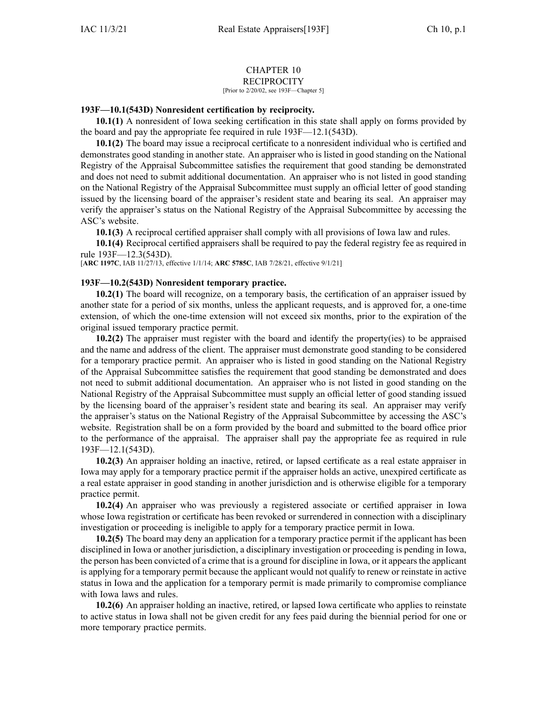## CHAPTER 10 **RECIPROCITY**

[Prior to 2/20/02, see 193F—Chapter 5]

## **193F—10.1(543D) Nonresident certification by reciprocity.**

**10.1(1)** A nonresident of Iowa seeking certification in this state shall apply on forms provided by the board and pay the appropriate fee required in rule [193F—12.1\(543D\)](https://www.legis.iowa.gov/docs/iac/rule/193F.12.1.pdf).

**10.1(2)** The board may issue <sup>a</sup> reciprocal certificate to <sup>a</sup> nonresident individual who is certified and demonstrates good standing in another state. An appraiser who is listed in good standing on the National Registry of the Appraisal Subcommittee satisfies the requirement that good standing be demonstrated and does not need to submit additional documentation. An appraiser who is not listed in good standing on the National Registry of the Appraisal Subcommittee must supply an official letter of good standing issued by the licensing board of the appraiser's resident state and bearing its seal. An appraiser may verify the appraiser's status on the National Registry of the Appraisal Subcommittee by accessing the ASC's website.

**10.1(3)** A reciprocal certified appraiser shall comply with all provisions of Iowa law and rules.

**10.1(4)** Reciprocal certified appraisers shall be required to pay the federal registry fee as required in rule [193F—12.3\(543D\)](https://www.legis.iowa.gov/docs/iac/rule/193F.12.3.pdf).

[**ARC [1197C](https://www.legis.iowa.gov/docs/aco/arc/1197C.pdf)**, IAB 11/27/13, effective 1/1/14; **ARC [5785C](https://www.legis.iowa.gov/docs/aco/arc/5785C.pdf)**, IAB 7/28/21, effective 9/1/21]

## **193F—10.2(543D) Nonresident temporary practice.**

**10.2(1)** The board will recognize, on <sup>a</sup> temporary basis, the certification of an appraiser issued by another state for <sup>a</sup> period of six months, unless the applicant requests, and is approved for, <sup>a</sup> one-time extension, of which the one-time extension will not exceed six months, prior to the expiration of the original issued temporary practice permit.

**10.2(2)** The appraiser must register with the board and identify the property(ies) to be appraised and the name and address of the client. The appraiser must demonstrate good standing to be considered for <sup>a</sup> temporary practice permit. An appraiser who is listed in good standing on the National Registry of the Appraisal Subcommittee satisfies the requirement that good standing be demonstrated and does not need to submit additional documentation. An appraiser who is not listed in good standing on the National Registry of the Appraisal Subcommittee must supply an official letter of good standing issued by the licensing board of the appraiser's resident state and bearing its seal. An appraiser may verify the appraiser's status on the National Registry of the Appraisal Subcommittee by accessing the ASC's website. Registration shall be on <sup>a</sup> form provided by the board and submitted to the board office prior to the performance of the appraisal. The appraiser shall pay the appropriate fee as required in rule [193F—12.1\(543D\)](https://www.legis.iowa.gov/docs/iac/rule/193F.12.1.pdf).

**10.2(3)** An appraiser holding an inactive, retired, or lapsed certificate as <sup>a</sup> real estate appraiser in Iowa may apply for <sup>a</sup> temporary practice permit if the appraiser holds an active, unexpired certificate as <sup>a</sup> real estate appraiser in good standing in another jurisdiction and is otherwise eligible for <sup>a</sup> temporary practice permit.

**10.2(4)** An appraiser who was previously <sup>a</sup> registered associate or certified appraiser in Iowa whose Iowa registration or certificate has been revoked or surrendered in connection with <sup>a</sup> disciplinary investigation or proceeding is ineligible to apply for <sup>a</sup> temporary practice permit in Iowa.

**10.2(5)** The board may deny an application for <sup>a</sup> temporary practice permit if the applicant has been disciplined in Iowa or another jurisdiction, <sup>a</sup> disciplinary investigation or proceeding is pending in Iowa, the person has been convicted of <sup>a</sup> crime that is <sup>a</sup> ground for discipline in Iowa, or it appearsthe applicant is applying for <sup>a</sup> temporary permit because the applicant would not qualify to renew or reinstate in active status in Iowa and the application for <sup>a</sup> temporary permit is made primarily to compromise compliance with Iowa laws and rules.

**10.2(6)** An appraiser holding an inactive, retired, or lapsed Iowa certificate who applies to reinstate to active status in Iowa shall not be given credit for any fees paid during the biennial period for one or more temporary practice permits.